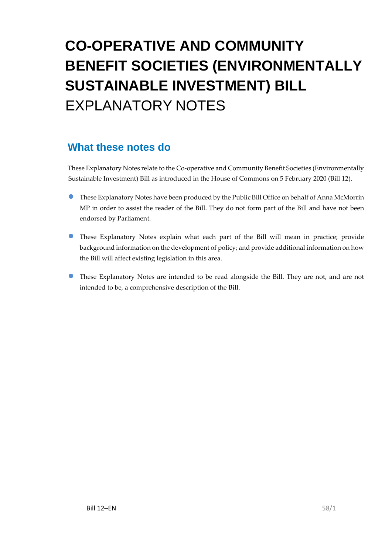# **CO-OPERATIVE AND COMMUNITY BENEFIT SOCIETIES (ENVIRONMENTALLY SUSTAINABLE INVESTMENT) BILL** EXPLANATORY NOTES

#### **What these notes do**

These Explanatory Notes relate to the Co-operative and Community Benefit Societies (Environmentally Sustainable Investment) Bill as introduced in the House of Commons on 5 February 2020 (Bill 12).

- These Explanatory Notes have been produced by the Public Bill Office on behalf of Anna McMorrin MP in order to assist the reader of the Bill. They do not form part of the Bill and have not been endorsed by Parliament.
- These Explanatory Notes explain what each part of the Bill will mean in practice; provide background information on the development of policy; and provide additional information on how the Bill will affect existing legislation in this area.
- These Explanatory Notes are intended to be read alongside the Bill. They are not, and are not intended to be, a comprehensive description of the Bill.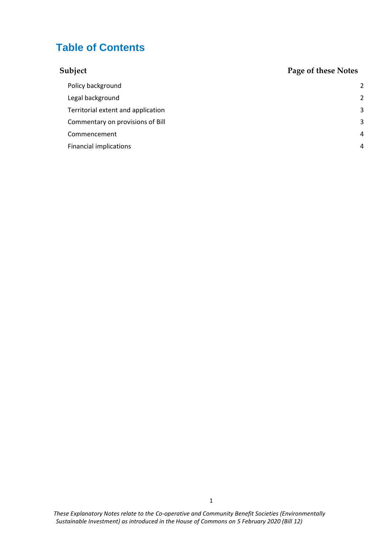#### **Table of Contents**

| Subject                            | Page of these Notes |
|------------------------------------|---------------------|
| Policy background                  | 2                   |
| Legal background                   | 2                   |
| Territorial extent and application | 3                   |
| Commentary on provisions of Bill   | 3                   |
| Commencement                       | 4                   |
| <b>Financial implications</b>      | 4                   |

*These Explanatory Notes relate to the Co-operative and Community Benefit Societies (Environmentally Sustainable Investment) as introduced in the House of Commons on 5 February 2020 (Bill 12)*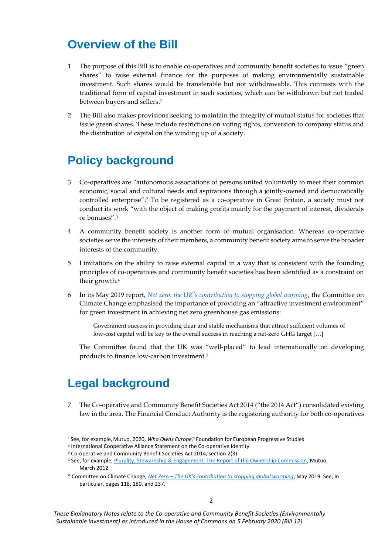# **Overview of the Bill**

- 1 The purpose of this Bill is to enable co-operatives and community benefit societies to issue "green shares" to raise external finance for the purposes of making environmentally sustainable investment. Such shares would be transferable but not withdrawable. This contrasts with the traditional form of capital investment in such societies, which can be withdrawn but not traded between buyers and sellers. 1
- 2 The Bill also makes provisions seeking to maintain the integrity of mutual status for societies that issue green shares. These include restrictions on voting rights, conversion to company status and the distribution of capital on the winding up of a society.

# <span id="page-2-0"></span>**Policy background**

- 3 Co-operatives are "autonomous associations of persons united voluntarily to meet their common economic, social and cultural needs and aspirations through a jointly-owned and democratically controlled enterprise". <sup>2</sup> To be registered as a co-operative in Great Britain, a society must not conduct its work "with the object of making profits mainly for the payment of interest, dividends or bonuses".<sup>3</sup>
- 4 A community benefit society is another form of mutual organisation. Whereas co-operative societies serve the interests of their members, a community benefit society aims to serve the broader interests of the community.
- 5 Limitations on the ability to raise external capital in a way that is consistent with the founding principles of co-operatives and community benefit societies has been identified as a constraint on their growth.<sup>4</sup>
- 6 In its May 2019 report, *Net zero: [the UK's contribution to stopping global warming](https://www.theccc.org.uk/publication/net-zero-the-uks-contribution-to-stopping-global-warming/)*, the Committee on Climate Change emphasised the importance of providing an "attractive investment environment" for green investment in achieving net zero greenhouse gas emissions:

Government success in providing clear and stable mechanisms that attract sufficient volumes of low-cost capital will be key to the overall success in reaching a net-zero GHG target […]

The Committee found that the UK was "well-placed" to lead internationally on developing products to finance low-carbon investment. 5

# <span id="page-2-1"></span>**Legal background**

7 The Co-operative and Community Benefit Societies Act 2014 ("the 2014 Act") consolidated existing law in the area. The Financial Conduct Authority is the registering authority for both co-operatives

2 International Cooperative Alliance Statement on the Co-operative Identity

<sup>1</sup> See, for example, Mutuo, 2020, *Who Owns Europe?* Foundation for European Progressive Studies

<sup>3</sup> Co-operative and Community Benefit Societies Act 2014, section 2(3)

<sup>4</sup> See, for example[, Plurality, Stewardship & Engagement: The Report of the Ownership Commission,](http://www.mutuo.coop/wp-content/uploads/2012/03/Ownership-commission-2012.pdf) Mutuo, March 2012

<sup>5</sup> Committee on Climate Change, *Net Zero – [The UK's contribution to stopping global warming](https://www.theccc.org.uk/publication/net-zero-the-uks-contribution-to-stopping-global-warming/)*, May 2019. See, in particular, pages 118, 180, and 237.

*These Explanatory Notes relate to the Co-operative and Community Benefit Societies (Environmentally Sustainable Investment) as introduced in the House of Commons on 5 February 2020 (Bill 12)*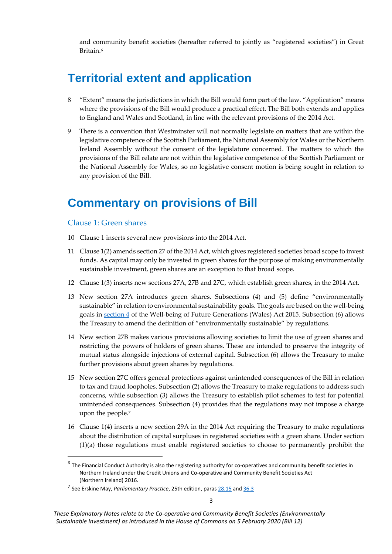and community benefit societies (hereafter referred to jointly as "registered societies") in Great Britain. 6

### <span id="page-3-0"></span>**Territorial extent and application**

- 8 "Extent" means the jurisdictions in which the Bill would form part of the law. "Application" means where the provisions of the Bill would produce a practical effect. The Bill both extends and applies to England and Wales and Scotland, in line with the relevant provisions of the 2014 Act.
- There is a convention that Westminster will not normally legislate on matters that are within the legislative competence of the Scottish Parliament, the National Assembly for Wales or the Northern Ireland Assembly without the consent of the legislature concerned. The matters to which the provisions of the Bill relate are not within the legislative competence of the Scottish Parliament or the National Assembly for Wales, so no legislative consent motion is being sought in relation to any provision of the Bill.

#### <span id="page-3-1"></span>**Commentary on provisions of Bill**

#### Clause 1: Green shares

- 10 Clause 1 inserts several new provisions into the 2014 Act.
- 11 Clause 1(2) amends section 27 of the 2014 Act, which gives registered societies broad scope to invest funds. As capital may only be invested in green shares for the purpose of making environmentally sustainable investment, green shares are an exception to that broad scope.
- 12 Clause 1(3) inserts new sections 27A, 27B and 27C, which establish green shares, in the 2014 Act.
- 13 New section 27A introduces green shares. Subsections (4) and (5) define "environmentally sustainable" in relation to environmental sustainability goals. The goals are based on the well-being goals in [section 4](http://www.legislation.gov.uk/anaw/2015/2/section/4/enacted) of the Well-being of Future Generations (Wales) Act 2015. Subsection (6) allows the Treasury to amend the definition of "environmentally sustainable" by regulations.
- 14 New section 27B makes various provisions allowing societies to limit the use of green shares and restricting the powers of holders of green shares. These are intended to preserve the integrity of mutual status alongside injections of external capital. Subsection (6) allows the Treasury to make further provisions about green shares by regulations.
- 15 New section 27C offers general protections against unintended consequences of the Bill in relation to tax and fraud loopholes. Subsection (2) allows the Treasury to make regulations to address such concerns, while subsection (3) allows the Treasury to establish pilot schemes to test for potential unintended consequences. Subsection (4) provides that the regulations may not impose a charge upon the people. 7
- 16 Clause 1(4) inserts a new section 29A in the 2014 Act requiring the Treasury to make regulations about the distribution of capital surpluses in registered societies with a green share. Under section (1)(a) those regulations must enable registered societies to choose to permanently prohibit the

<sup>&</sup>lt;sup>6</sup> The Financial Conduct Authority is also the registering authority for co-operatives and community benefit societies in Northern Ireland under the Credit Unions and Co-operative and Community Benefit Societies Act (Northern Ireland) 2016.

<sup>&</sup>lt;sup>7</sup> See Erskine May, *Parliamentary Practice*, 25th edition, paras [28.15](https://erskinemay.parliament.uk/section/5242/private-members-bills-and-charges/) an[d 36.3](https://erskinemay.parliament.uk/section/5797/taxation/?highlight=expiring%20tax)

*These Explanatory Notes relate to the Co-operative and Community Benefit Societies (Environmentally Sustainable Investment) as introduced in the House of Commons on 5 February 2020 (Bill 12)*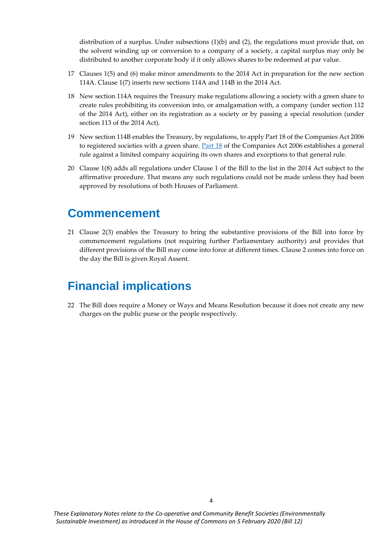distribution of a surplus. Under subsections  $(1)(b)$  and  $(2)$ , the regulations must provide that, on the solvent winding up or conversion to a company of a society, a capital surplus may only be distributed to another corporate body if it only allows shares to be redeemed at par value.

- 17 Clauses 1(5) and (6) make minor amendments to the 2014 Act in preparation for the new section 114A. Clause 1(7) inserts new sections 114A and 114B in the 2014 Act.
- 18 New section 114A requires the Treasury make regulations allowing a society with a green share to create rules prohibiting its conversion into, or amalgamation with, a company (under section 112 of the 2014 Act), either on its registration as a society or by passing a special resolution (under section 113 of the 2014 Act).
- 19 New section 114B enables the Treasury, by regulations, to apply Part 18 of the Companies Act 2006 to registered societies with a green share.  $Part 18$  of the Companies Act 2006 establishes a general rule against a limited company acquiring its own shares and exceptions to that general rule.
- 20 Clause 1(8) adds all regulations under Clause 1 of the Bill to the list in the 2014 Act subject to the affirmative procedure. That means any such regulations could not be made unless they had been approved by resolutions of both Houses of Parliament.

#### <span id="page-4-0"></span>**Commencement**

21 Clause 2(3) enables the Treasury to bring the substantive provisions of the Bill into force by commencement regulations (not requiring further Parliamentary authority) and provides that different provisions of the Bill may come into force at different times. Clause 2 comes into force on the day the Bill is given Royal Assent.

### <span id="page-4-1"></span>**Financial implications**

22 The Bill does require a Money or Ways and Means Resolution because it does not create any new charges on the public purse or the people respectively.